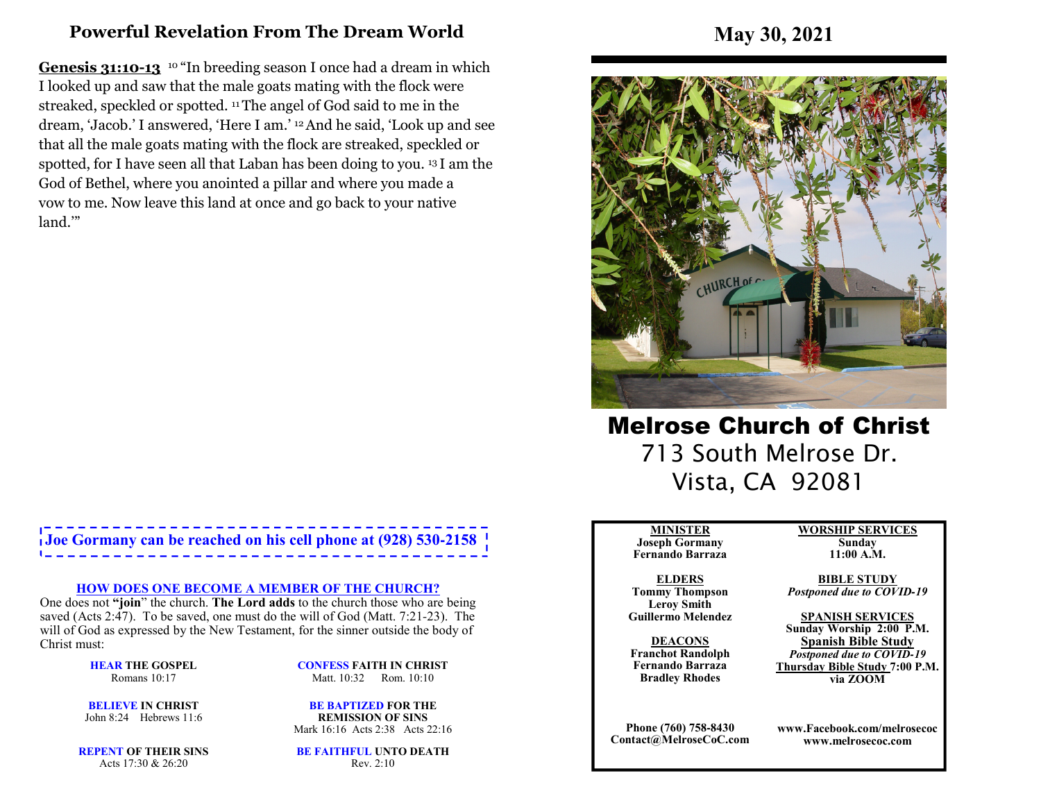# **Powerful Revelation From The Dream World**

**Genesis 31:10-13** <sup>10</sup> "In breeding season I once had a dream in which I looked up and saw that the male goats mating with the flock were streaked, speckled or spotted. 11 The angel of God said to me in the dream, 'Jacob.' I answered, 'Here I am.' 12 And he said, 'Look up and see that all the male goats mating with the flock are streaked, speckled or spotted, for I have seen all that Laban has been doing to you. 13 I am the God of Bethel, where you anointed a pillar and where you made a vow to me. Now leave this land at once and go back to your native land.'"

# **Joe Gormany can be reached on his cell phone at (928) 530-2158**

#### **HOW DOES ONE BECOME A MEMBER OF THE CHURCH?**

 One does not **"join**" the church. **The Lord adds** to the church those who are being saved (Acts 2:47). To be saved, one must do the will of God (Matt. 7:21-23). The will of God as expressed by the New Testament, for the sinner outside the body of Christ must:

> **HEAR THE GOSPEL**Romans 10:17

**CONFESS FAITH IN CHRIST**Matt. 10:32 Rom. 10:10

**BELIEVE IN CHRIST**John 8:24 Hebrews 11:6

**BE BAPTIZED FOR THE REMISSION OF SINS**Mark 16:16 Acts 2:38 Acts 22:16

**REPENT OF THEIR SINS**Acts 17:30 & 26:20

**BE FAITHFUL UNTO DEATH**Rev. 2:10

**May 30, 2021**



Melrose Church of Christ 713 South Melrose Dr. Vista, CA 92081

#### **MINISTER**

 **Joseph Gormany Fernando Barraza**

**ELDERS Tommy Thompson Leroy SmithGuillermo Melendez** 

**DEACONS Franchot Randolph Fernando BarrazaBradley Rhodes**

**Phone (760) 758-8430Contact@MelroseCoC.com** **WORSHIP SERVICESSunday** 

**11:00 A.M.** 

**BIBLE STUDY***Postponed due to COVID-19*

**SPANISH SERVICES Sunday Worship 2:00 P.M.Spanish Bible Study** *Postponed due to COVID-19*  **Thursday Bible Study 7:00 P.M.via ZOOM**

**www.Facebook.com/melrosecocwww.melrosecoc.com**